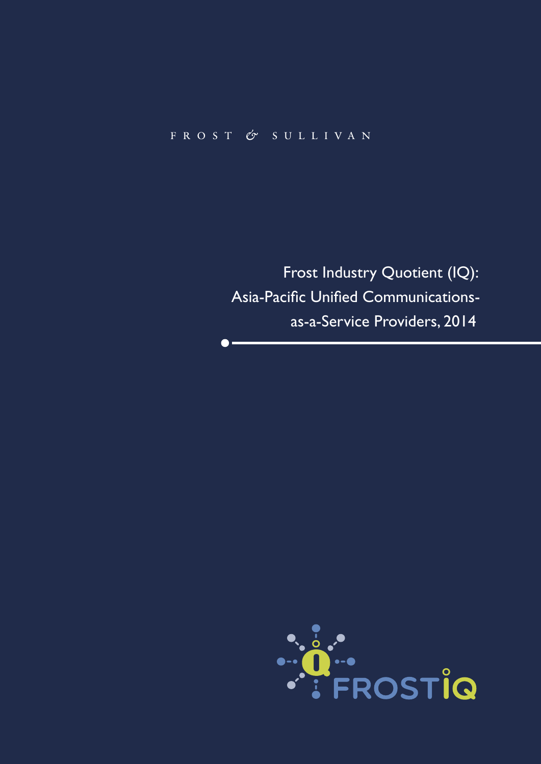# FROST & SULLIVAN

 $\bullet$ 

Frost Industry Quotient (IQ): Asia-Pacific Unified Communicationsas-a-Service Providers, 2014

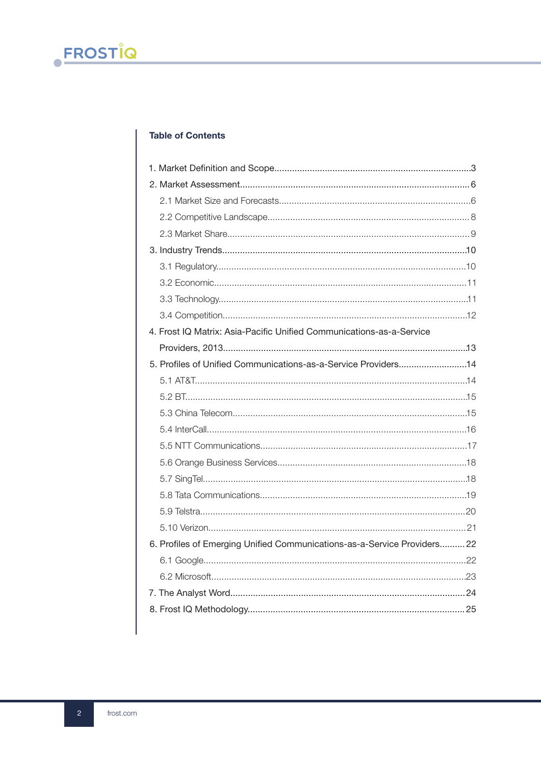## **Table of Contents**

| 4. Frost IQ Matrix: Asia-Pacific Unified Communications-as-a-Service     |
|--------------------------------------------------------------------------|
|                                                                          |
| 5. Profiles of Unified Communications-as-a-Service Providers14           |
|                                                                          |
|                                                                          |
|                                                                          |
|                                                                          |
|                                                                          |
|                                                                          |
|                                                                          |
|                                                                          |
|                                                                          |
|                                                                          |
| 6. Profiles of Emerging Unified Communications-as-a-Service Providers 22 |
|                                                                          |
|                                                                          |
|                                                                          |
|                                                                          |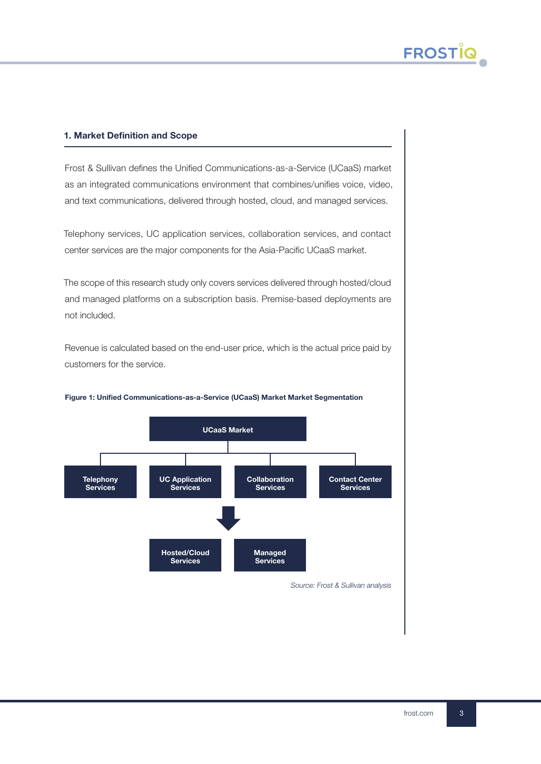## 1. Market Definition and Scope

Frost & Sullivan defines the Unified Communications-as-a-Service (UCaaS) market as an integrated communications environment that combines/unifies voice, video, and text communications, delivered through hosted, cloud, and managed services.

Telephony services, UC application services, collaboration services, and contact center services are the major components for the Asia-Pacific UCaaS market.

The scope of this research study only covers services delivered through hosted/cloud and managed platforms on a subscription basis. Premise-based deployments are not included.

Revenue is calculated based on the end-user price, which is the actual price paid by customers for the service.



#### Figure 1: Unified Communications-as-a-Service (UCaaS) Market Market Segmentation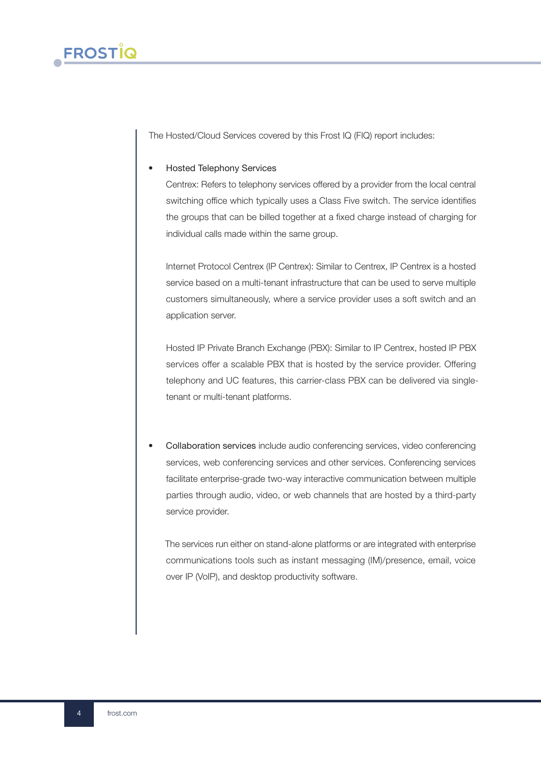

The Hosted/Cloud Services covered by this Frost IQ (FIQ) report includes:

## • Hosted Telephony Services

Centrex: Refers to telephony services offered by a provider from the local central switching office which typically uses a Class Five switch. The service identifies the groups that can be billed together at a fixed charge instead of charging for individual calls made within the same group.

Internet Protocol Centrex (IP Centrex): Similar to Centrex, IP Centrex is a hosted service based on a multi-tenant infrastructure that can be used to serve multiple customers simultaneously, where a service provider uses a soft switch and an application server.

Hosted IP Private Branch Exchange (PBX): Similar to IP Centrex, hosted IP PBX services offer a scalable PBX that is hosted by the service provider. Offering telephony and UC features, this carrier-class PBX can be delivered via singletenant or multi-tenant platforms.

• Collaboration services include audio conferencing services, video conferencing services, web conferencing services and other services. Conferencing services facilitate enterprise-grade two-way interactive communication between multiple parties through audio, video, or web channels that are hosted by a third-party service provider.

The services run either on stand-alone platforms or are integrated with enterprise communications tools such as instant messaging (IM)/presence, email, voice over IP (VoIP), and desktop productivity software.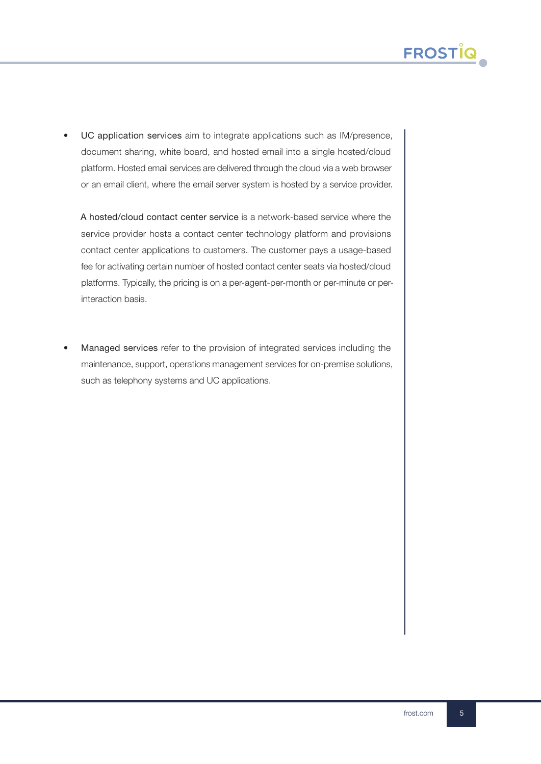

UC application services aim to integrate applications such as IM/presence, document sharing, white board, and hosted email into a single hosted/cloud platform. Hosted email services are delivered through the cloud via a web browser or an email client, where the email server system is hosted by a service provider.

A hosted/cloud contact center service is a network-based service where the service provider hosts a contact center technology platform and provisions contact center applications to customers. The customer pays a usage-based fee for activating certain number of hosted contact center seats via hosted/cloud platforms. Typically, the pricing is on a per-agent-per-month or per-minute or perinteraction basis.

• Managed services refer to the provision of integrated services including the maintenance, support, operations management services for on-premise solutions, such as telephony systems and UC applications.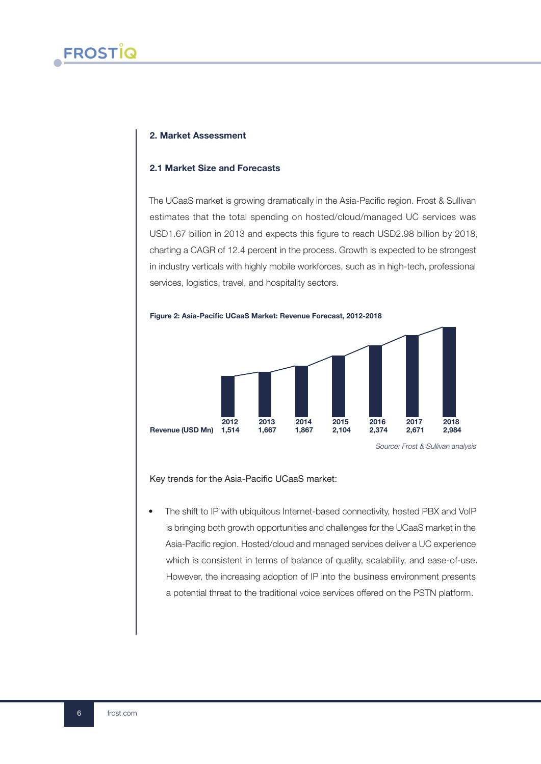#### 2. Market Assessment

#### 2.1 Market Size and Forecasts

The UCaaS market is growing dramatically in the Asia-Pacific region. Frost & Sullivan estimates that the total spending on hosted/cloud/managed UC services was USD1.67 billion in 2013 and expects this figure to reach USD2.98 billion by 2018, charting a CAGR of 12.4 percent in the process. Growth is expected to be strongest in industry verticals with highly mobile workforces, such as in high-tech, professional services, logistics, travel, and hospitality sectors.



Key trends for the Asia-Pacific UCaaS market:

The shift to IP with ubiquitous Internet-based connectivity, hosted PBX and VoIP is bringing both growth opportunities and challenges for the UCaaS market in the Asia-Pacific region. Hosted/cloud and managed services deliver a UC experience which is consistent in terms of balance of quality, scalability, and ease-of-use. However, the increasing adoption of IP into the business environment presents a potential threat to the traditional voice services offered on the PSTN platform.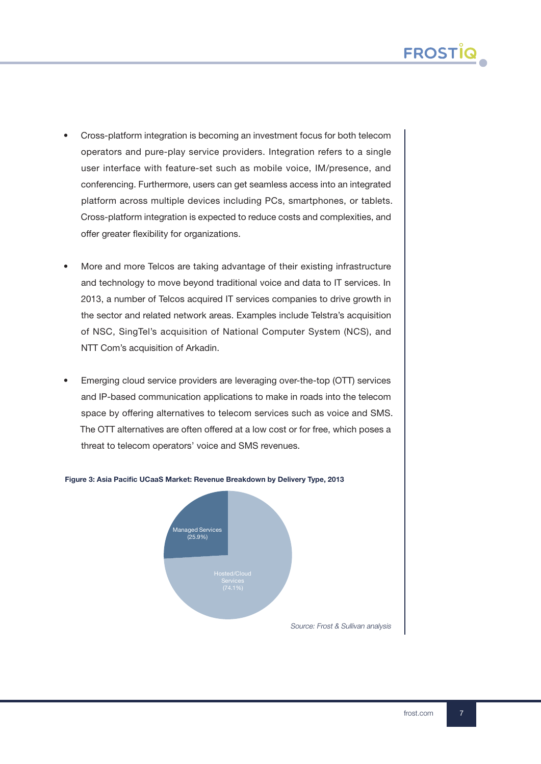- Cross-platform integration is becoming an investment focus for both telecom operators and pure-play service providers. Integration refers to a single user interface with feature-set such as mobile voice, IM/presence, and conferencing. Furthermore, users can get seamless access into an integrated platform across multiple devices including PCs, smartphones, or tablets. Cross-platform integration is expected to reduce costs and complexities, and offer greater flexibility for organizations.
- More and more Telcos are taking advantage of their existing infrastructure and technology to move beyond traditional voice and data to IT services. In 2013, a number of Telcos acquired IT services companies to drive growth in the sector and related network areas. Examples include Telstra's acquisition of NSC, SingTel's acquisition of National Computer System (NCS), and NTT Com's acquisition of Arkadin.
- Emerging cloud service providers are leveraging over-the-top (OTT) services and IP-based communication applications to make in roads into the telecom space by offering alternatives to telecom services such as voice and SMS. The OTT alternatives are often offered at a low cost or for free, which poses a threat to telecom operators' voice and SMS revenues.



frost.com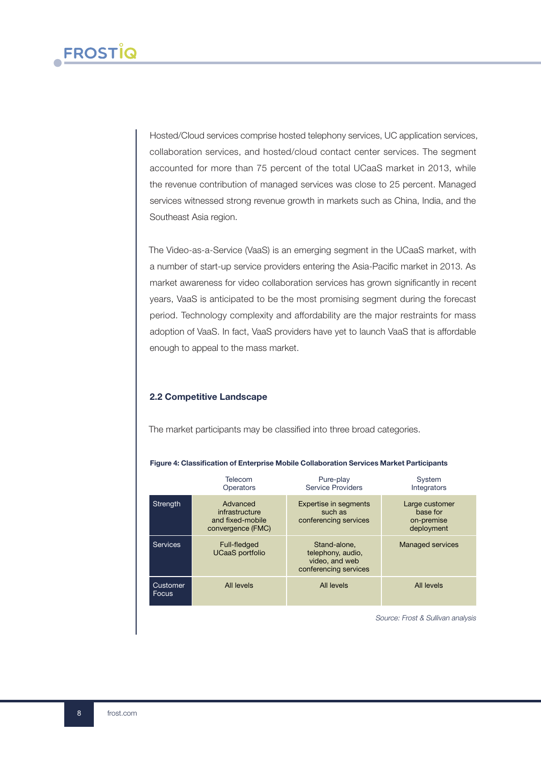Hosted/Cloud services comprise hosted telephony services, UC application services, collaboration services, and hosted/cloud contact center services. The segment accounted for more than 75 percent of the total UCaaS market in 2013, while the revenue contribution of managed services was close to 25 percent. Managed services witnessed strong revenue growth in markets such as China, India, and the Southeast Asia region.

The Video-as-a-Service (VaaS) is an emerging segment in the UCaaS market, with a number of start-up service providers entering the Asia-Pacific market in 2013. As market awareness for video collaboration services has grown significantly in recent years, VaaS is anticipated to be the most promising segment during the forecast period. Technology complexity and affordability are the major restraints for mass adoption of VaaS. In fact, VaaS providers have yet to launch VaaS that is affordable enough to appeal to the mass market.

## 2.2 Competitive Landscape

The market participants may be classified into three broad categories.

|                          | Telecom<br>Operators                                                | Pure-play<br><b>Service Providers</b>                                        | System<br>Integrators                                  |
|--------------------------|---------------------------------------------------------------------|------------------------------------------------------------------------------|--------------------------------------------------------|
| <b>Strength</b>          | Advanced<br>infrastructure<br>and fixed-mobile<br>convergence (FMC) | <b>Expertise in segments</b><br>such as<br>conferencing services             | Large customer<br>base for<br>on-premise<br>deployment |
| <b>Services</b>          | Full-fledged<br><b>UCaaS</b> portfolio                              | Stand-alone.<br>telephony, audio,<br>video, and web<br>conferencing services | <b>Managed services</b>                                |
| Customer<br><b>Focus</b> | All levels                                                          | All levels                                                                   | All levels                                             |

#### Figure 4: Classification of Enterprise Mobile Collaboration Services Market Participants

Source: Frost & Sullivan analysis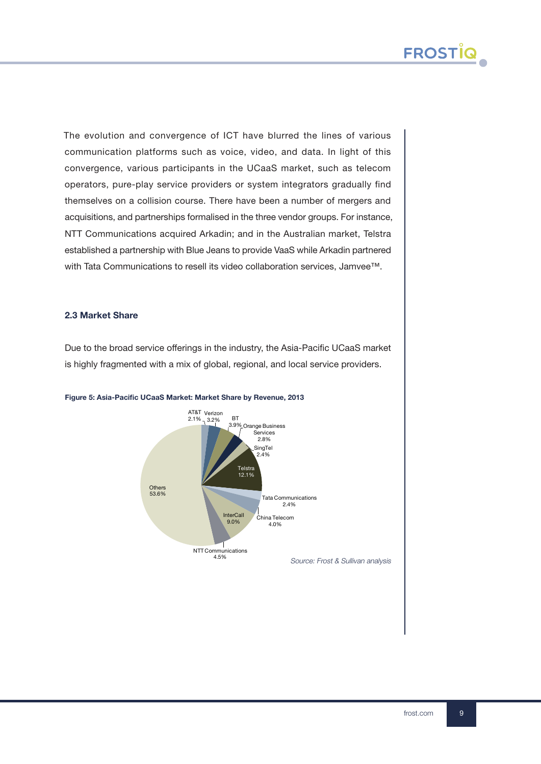

The evolution and convergence of ICT have blurred the lines of various communication platforms such as voice, video, and data. In light of this convergence, various participants in the UCaaS market, such as telecom operators, pure-play service providers or system integrators gradually find themselves on a collision course. There have been a number of mergers and acquisitions, and partnerships formalised in the three vendor groups. For instance, NTT Communications acquired Arkadin; and in the Australian market, Telstra established a partnership with Blue Jeans to provide VaaS while Arkadin partnered with Tata Communications to resell its video collaboration services, Jamvee™.

#### 2.3 Market Share

Due to the broad service offerings in the industry, the Asia-Pacific UCaaS market is highly fragmented with a mix of global, regional, and local service providers.



#### Figure 5: Asia-Pacific UCaaS Market: Market Share by Revenue, 2013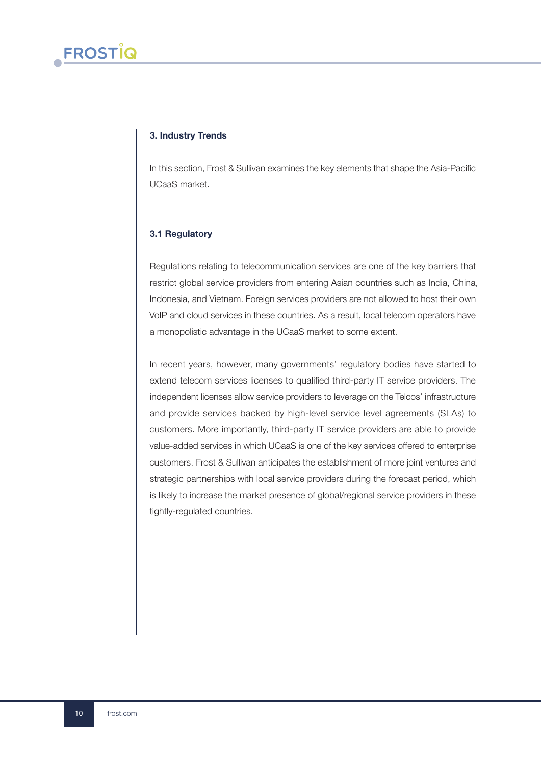## 3. Industry Trends

In this section, Frost & Sullivan examines the key elements that shape the Asia-Pacific UCaaS market.

## 3.1 Regulatory

Regulations relating to telecommunication services are one of the key barriers that restrict global service providers from entering Asian countries such as India, China, Indonesia, and Vietnam. Foreign services providers are not allowed to host their own VoIP and cloud services in these countries. As a result, local telecom operators have a monopolistic advantage in the UCaaS market to some extent.

In recent years, however, many governments' regulatory bodies have started to extend telecom services licenses to qualified third-party IT service providers. The independent licenses allow service providers to leverage on the Telcos' infrastructure and provide services backed by high-level service level agreements (SLAs) to customers. More importantly, third-party IT service providers are able to provide value-added services in which UCaaS is one of the key services offered to enterprise customers. Frost & Sullivan anticipates the establishment of more joint ventures and strategic partnerships with local service providers during the forecast period, which is likely to increase the market presence of global/regional service providers in these tightly-regulated countries.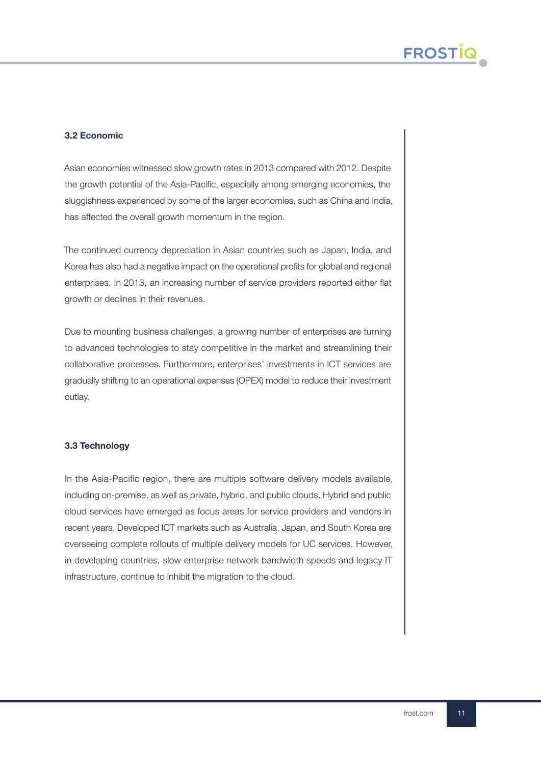## 3.2 Economic

Asian economies witnessed slow growth rates in 2013 compared with 2012. Despite the growth potential of the Asia-Pacific, especially among emerging economies, the sluggishness experienced by some of the larger economies, such as China and India, has affected the overall growth momentum in the region.

The continued currency depreciation in Asian countries such as Japan, India, and Korea has also had a negative impact on the operational profits for global and regional enterprises. In 2013, an increasing number of service providers reported either flat growth or declines in their revenues.

Due to mounting business challenges, a growing number of enterprises are turning to advanced technologies to stay competitive in the market and streamlining their collaborative processes. Furthermore, enterprises' investments in ICT services are gradually shifting to an operational expenses (OPEX) model to reduce their investment outlay.

## 3.3 Technology

In the Asia-Pacific region, there are multiple software delivery models available, including on-premise, as well as private, hybrid, and public clouds. Hybrid and public cloud services have emerged as focus areas for service providers and vendors in recent years. Developed ICT markets such as Australia, Japan, and South Korea are overseeing complete rollouts of multiple delivery models for UC services. However, in developing countries, slow enterprise network bandwidth speeds and legacy IT infrastructure, continue to inhibit the migration to the cloud.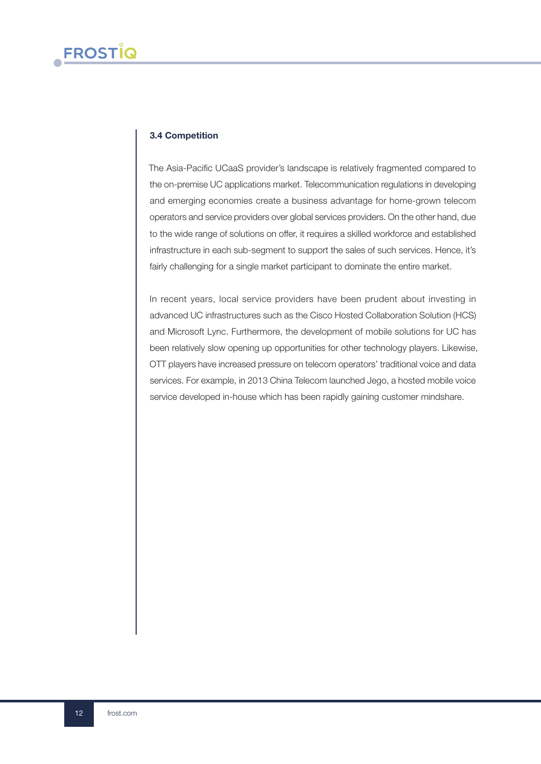## 3.4 Competition

The Asia-Pacific UCaaS provider's landscape is relatively fragmented compared to the on-premise UC applications market. Telecommunication regulations in developing and emerging economies create a business advantage for home-grown telecom operators and service providers over global services providers. On the other hand, due to the wide range of solutions on offer, it requires a skilled workforce and established infrastructure in each sub-segment to support the sales of such services. Hence, it's fairly challenging for a single market participant to dominate the entire market.

In recent years, local service providers have been prudent about investing in advanced UC infrastructures such as the Cisco Hosted Collaboration Solution (HCS) and Microsoft Lync. Furthermore, the development of mobile solutions for UC has been relatively slow opening up opportunities for other technology players. Likewise, OTT players have increased pressure on telecom operators' traditional voice and data services. For example, in 2013 China Telecom launched Jego, a hosted mobile voice service developed in-house which has been rapidly gaining customer mindshare.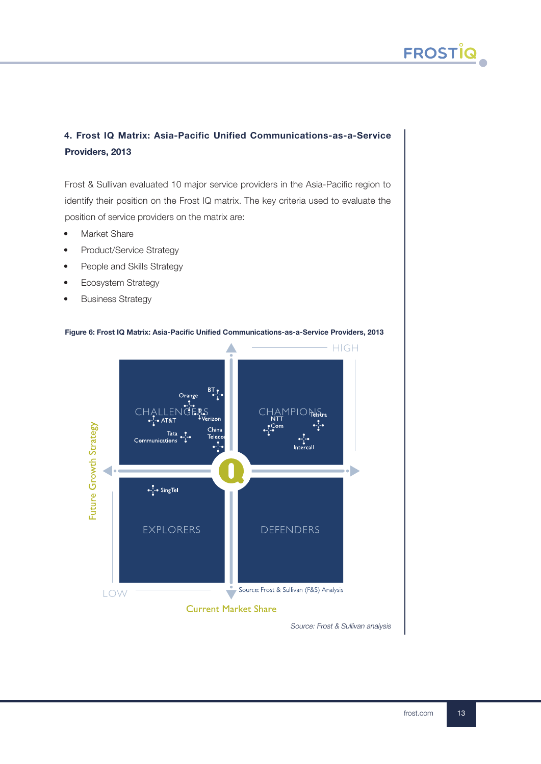## 4. Frost IQ Matrix: Asia-Pacific Unified Communications-as-a-Service Providers, 2013

Frost & Sullivan evaluated 10 major service providers in the Asia-Pacific region to identify their position on the Frost IQ matrix. The key criteria used to evaluate the position of service providers on the matrix are:

- Market Share
- Product/Service Strategy
- People and Skills Strategy
- Ecosystem Strategy
- Business Strategy



#### Figure 6: Frost IQ Matrix: Asia-Pacific Unified Communications-as-a-Service Providers, 2013

Source: Frost & Sullivan analysis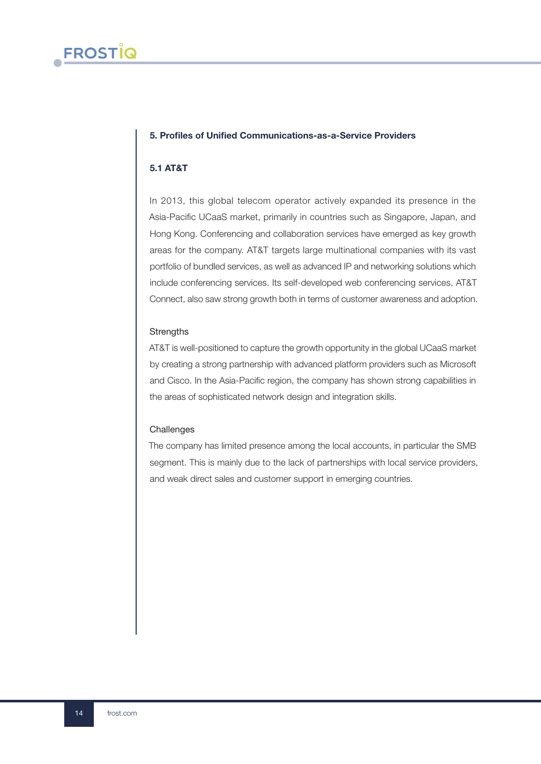## 5. Profiles of Unified Communications-as-a-Service Providers

## 5.1 AT&T

In 2013, this global telecom operator actively expanded its presence in the Asia-Pacific UCaaS market, primarily in countries such as Singapore, Japan, and Hong Kong. Conferencing and collaboration services have emerged as key growth areas for the company. AT&T targets large multinational companies with its vast portfolio of bundled services, as well as advanced IP and networking solutions which include conferencing services. Its self-developed web conferencing services, AT&T Connect, also saw strong growth both in terms of customer awareness and adoption.

#### **Strengths**

AT&T is well-positioned to capture the growth opportunity in the global UCaaS market by creating a strong partnership with advanced platform providers such as Microsoft and Cisco. In the Asia-Pacific region, the company has shown strong capabilities in the areas of sophisticated network design and integration skills.

#### **Challenges**

The company has limited presence among the local accounts, in particular the SMB segment. This is mainly due to the lack of partnerships with local service providers, and weak direct sales and customer support in emerging countries.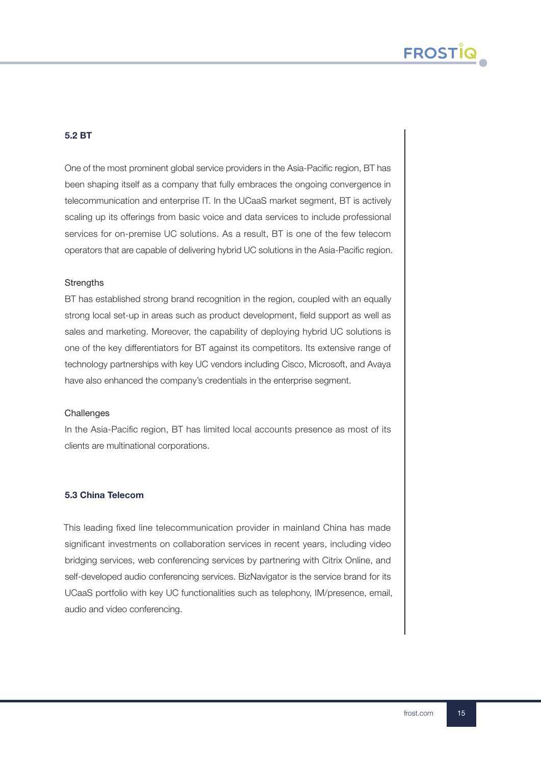## 5.2 BT

One of the most prominent global service providers in the Asia-Pacific region, BT has been shaping itself as a company that fully embraces the ongoing convergence in telecommunication and enterprise IT. In the UCaaS market segment, BT is actively scaling up its offerings from basic voice and data services to include professional services for on-premise UC solutions. As a result, BT is one of the few telecom operators that are capable of delivering hybrid UC solutions in the Asia-Pacific region.

#### **Strengths**

BT has established strong brand recognition in the region, coupled with an equally strong local set-up in areas such as product development, field support as well as sales and marketing. Moreover, the capability of deploying hybrid UC solutions is one of the key differentiators for BT against its competitors. Its extensive range of technology partnerships with key UC vendors including Cisco, Microsoft, and Avaya have also enhanced the company's credentials in the enterprise segment.

#### **Challenges**

In the Asia-Pacific region, BT has limited local accounts presence as most of its clients are multinational corporations.

## 5.3 China Telecom

This leading fixed line telecommunication provider in mainland China has made significant investments on collaboration services in recent years, including video bridging services, web conferencing services by partnering with Citrix Online, and self-developed audio conferencing services. BizNavigator is the service brand for its UCaaS portfolio with key UC functionalities such as telephony, IM/presence, email, audio and video conferencing.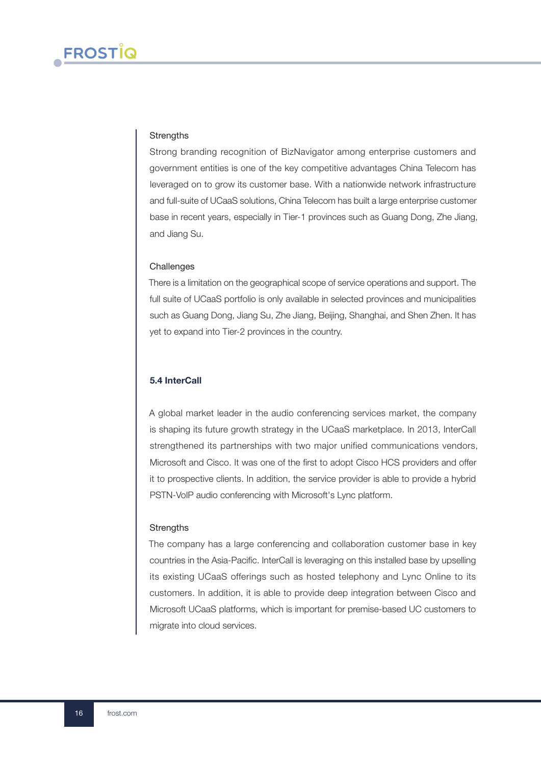#### **Strengths**

Strong branding recognition of BizNavigator among enterprise customers and government entities is one of the key competitive advantages China Telecom has leveraged on to grow its customer base. With a nationwide network infrastructure and full-suite of UCaaS solutions, China Telecom has built a large enterprise customer base in recent years, especially in Tier-1 provinces such as Guang Dong, Zhe Jiang, and Jiang Su.

#### **Challenges**

There is a limitation on the geographical scope of service operations and support. The full suite of UCaaS portfolio is only available in selected provinces and municipalities such as Guang Dong, Jiang Su, Zhe Jiang, Beijing, Shanghai, and Shen Zhen. It has yet to expand into Tier-2 provinces in the country.

#### 5.4 InterCall

A global market leader in the audio conferencing services market, the company is shaping its future growth strategy in the UCaaS marketplace. In 2013, InterCall strengthened its partnerships with two major unified communications vendors, Microsoft and Cisco. It was one of the first to adopt Cisco HCS providers and offer it to prospective clients. In addition, the service provider is able to provide a hybrid PSTN-VoIP audio conferencing with Microsoft's Lync platform.

#### **Strengths**

The company has a large conferencing and collaboration customer base in key countries in the Asia-Pacific. InterCall is leveraging on this installed base by upselling its existing UCaaS offerings such as hosted telephony and Lync Online to its customers. In addition, it is able to provide deep integration between Cisco and Microsoft UCaaS platforms, which is important for premise-based UC customers to migrate into cloud services.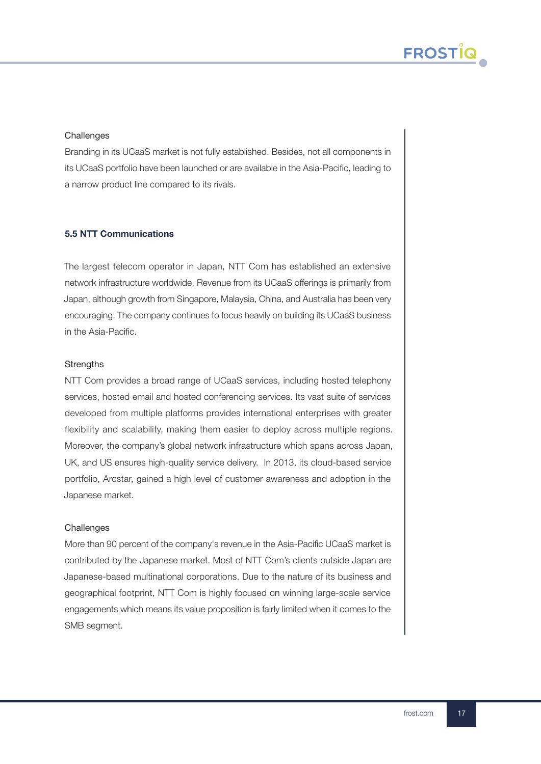## **Challenges**

Branding in its UCaaS market is not fully established. Besides, not all components in its UCaaS portfolio have been launched or are available in the Asia-Pacific, leading to a narrow product line compared to its rivals.

## 5.5 NTT Communications

The largest telecom operator in Japan, NTT Com has established an extensive network infrastructure worldwide. Revenue from its UCaaS offerings is primarily from Japan, although growth from Singapore, Malaysia, China, and Australia has been very encouraging. The company continues to focus heavily on building its UCaaS business in the Asia-Pacific.

## **Strengths**

NTT Com provides a broad range of UCaaS services, including hosted telephony services, hosted email and hosted conferencing services. Its vast suite of services developed from multiple platforms provides international enterprises with greater flexibility and scalability, making them easier to deploy across multiple regions. Moreover, the company's global network infrastructure which spans across Japan, UK, and US ensures high-quality service delivery. In 2013, its cloud-based service portfolio, Arcstar, gained a high level of customer awareness and adoption in the Japanese market.

## **Challenges**

More than 90 percent of the company's revenue in the Asia-Pacific UCaaS market is contributed by the Japanese market. Most of NTT Com's clients outside Japan are Japanese-based multinational corporations. Due to the nature of its business and geographical footprint, NTT Com is highly focused on winning large-scale service engagements which means its value proposition is fairly limited when it comes to the SMB segment.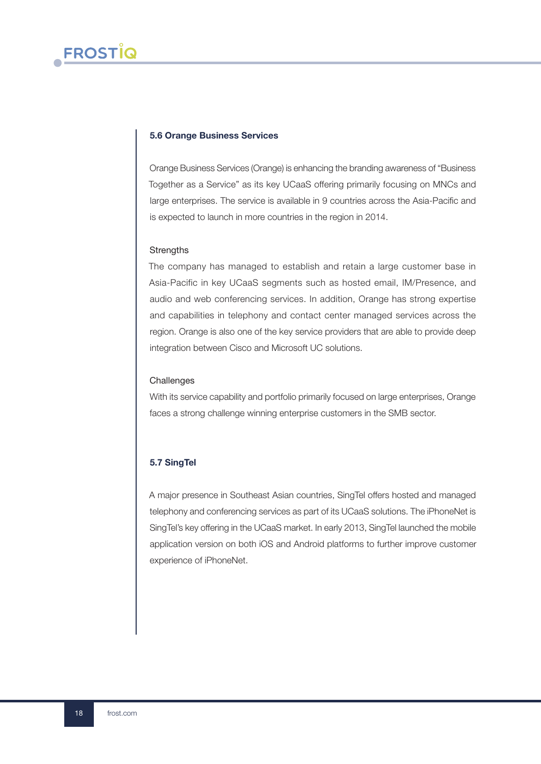#### 5.6 Orange Business Services

Orange Business Services (Orange) is enhancing the branding awareness of "Business Together as a Service" as its key UCaaS offering primarily focusing on MNCs and large enterprises. The service is available in 9 countries across the Asia-Pacific and is expected to launch in more countries in the region in 2014.

#### **Strengths**

The company has managed to establish and retain a large customer base in Asia-Pacific in key UCaaS segments such as hosted email, IM/Presence, and audio and web conferencing services. In addition, Orange has strong expertise and capabilities in telephony and contact center managed services across the region. Orange is also one of the key service providers that are able to provide deep integration between Cisco and Microsoft UC solutions.

#### **Challenges**

With its service capability and portfolio primarily focused on large enterprises, Orange faces a strong challenge winning enterprise customers in the SMB sector.

## 5.7 SingTel

A major presence in Southeast Asian countries, SingTel offers hosted and managed telephony and conferencing services as part of its UCaaS solutions. The iPhoneNet is SingTel's key offering in the UCaaS market. In early 2013, SingTel launched the mobile application version on both iOS and Android platforms to further improve customer experience of iPhoneNet.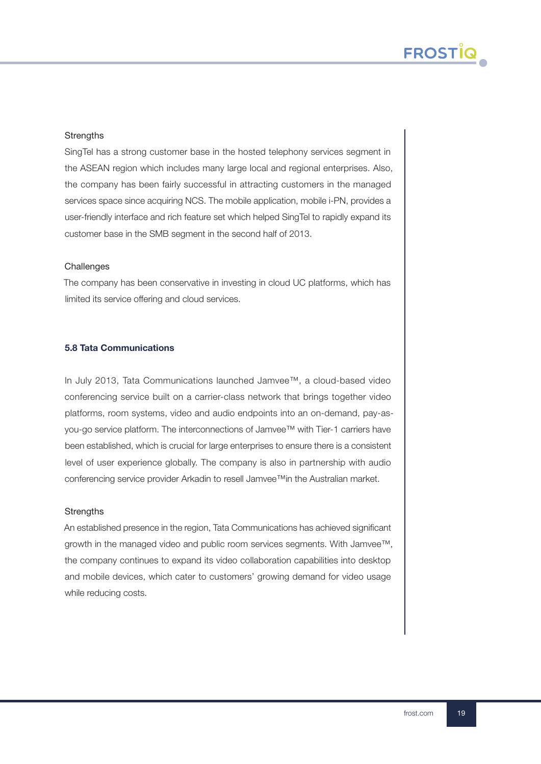## **Strengths**

SingTel has a strong customer base in the hosted telephony services segment in the ASEAN region which includes many large local and regional enterprises. Also, the company has been fairly successful in attracting customers in the managed services space since acquiring NCS. The mobile application, mobile i-PN, provides a user-friendly interface and rich feature set which helped SingTel to rapidly expand its customer base in the SMB segment in the second half of 2013.

## **Challenges**

The company has been conservative in investing in cloud UC platforms, which has limited its service offering and cloud services.

## 5.8 Tata Communications

In July 2013, Tata Communications launched Jamvee™, a cloud-based video conferencing service built on a carrier-class network that brings together video platforms, room systems, video and audio endpoints into an on-demand, pay-asyou-go service platform. The interconnections of Jamvee™ with Tier-1 carriers have been established, which is crucial for large enterprises to ensure there is a consistent level of user experience globally. The company is also in partnership with audio conferencing service provider Arkadin to resell Jamvee™in the Australian market.

## **Strengths**

An established presence in the region, Tata Communications has achieved significant growth in the managed video and public room services segments. With Jamvee™, the company continues to expand its video collaboration capabilities into desktop and mobile devices, which cater to customers' growing demand for video usage while reducing costs.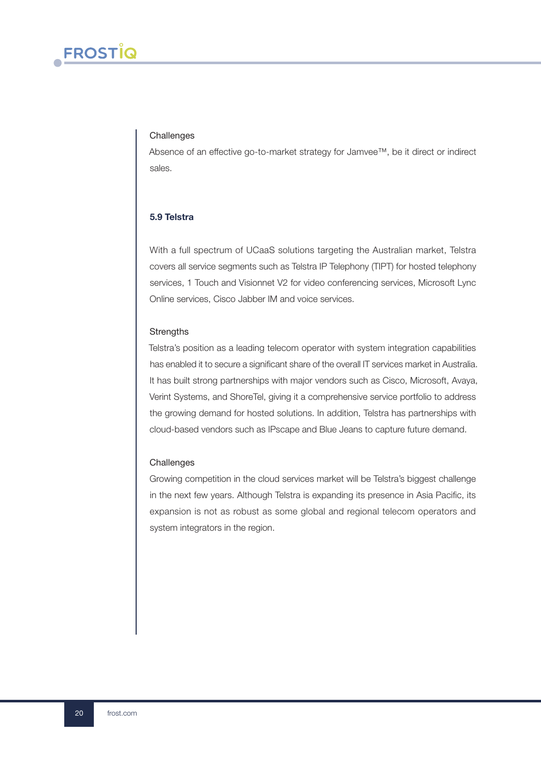#### **Challenges**

Absence of an effective go-to-market strategy for Jamvee™, be it direct or indirect sales.

## 5.9 Telstra

With a full spectrum of UCaaS solutions targeting the Australian market, Telstra covers all service segments such as Telstra IP Telephony (TIPT) for hosted telephony services, 1 Touch and Visionnet V2 for video conferencing services, Microsoft Lync Online services, Cisco Jabber IM and voice services.

#### **Strengths**

Telstra's position as a leading telecom operator with system integration capabilities has enabled it to secure a significant share of the overall IT services market in Australia. It has built strong partnerships with major vendors such as Cisco, Microsoft, Avaya, Verint Systems, and ShoreTel, giving it a comprehensive service portfolio to address the growing demand for hosted solutions. In addition, Telstra has partnerships with cloud-based vendors such as IPscape and Blue Jeans to capture future demand.

#### **Challenges**

Growing competition in the cloud services market will be Telstra's biggest challenge in the next few years. Although Telstra is expanding its presence in Asia Pacific, its expansion is not as robust as some global and regional telecom operators and system integrators in the region.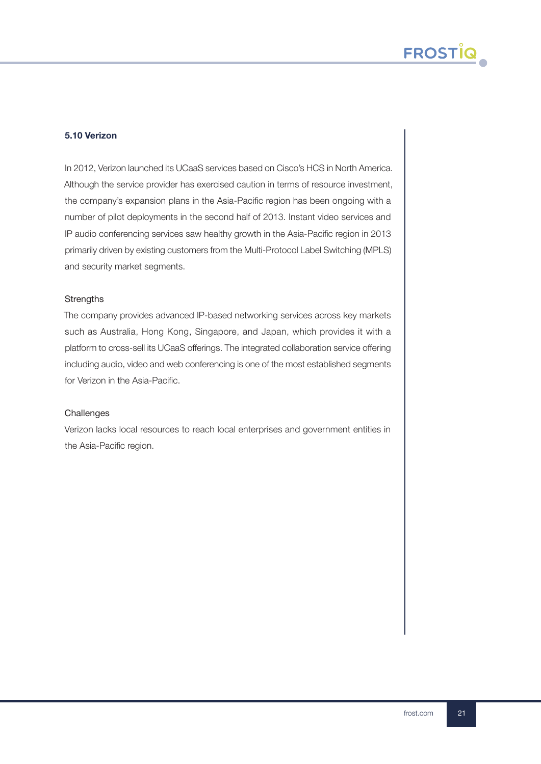## 5.10 Verizon

In 2012, Verizon launched its UCaaS services based on Cisco's HCS in North America. Although the service provider has exercised caution in terms of resource investment, the company's expansion plans in the Asia-Pacific region has been ongoing with a number of pilot deployments in the second half of 2013. Instant video services and IP audio conferencing services saw healthy growth in the Asia-Pacific region in 2013 primarily driven by existing customers from the Multi-Protocol Label Switching (MPLS) and security market segments.

#### **Strengths**

The company provides advanced IP-based networking services across key markets such as Australia, Hong Kong, Singapore, and Japan, which provides it with a platform to cross-sell its UCaaS offerings. The integrated collaboration service offering including audio, video and web conferencing is one of the most established segments for Verizon in the Asia-Pacific.

#### **Challenges**

Verizon lacks local resources to reach local enterprises and government entities in the Asia-Pacific region.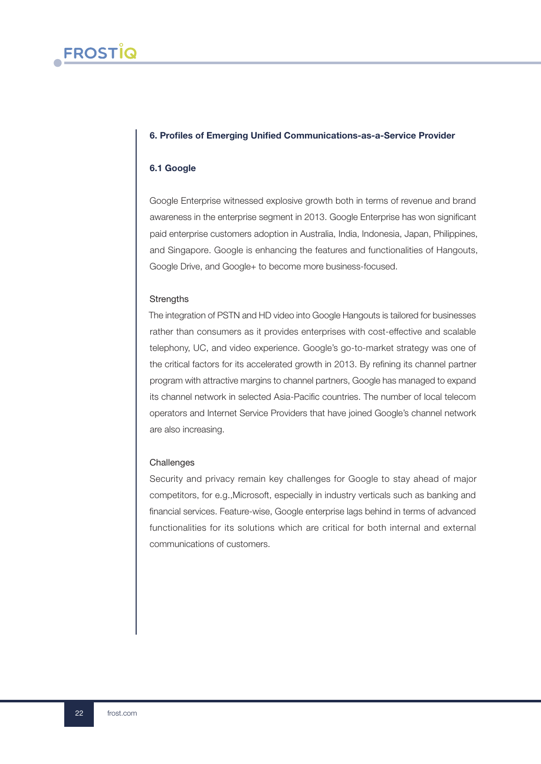## 6. Profiles of Emerging Unified Communications-as-a-Service Provider

## 6.1 Google

Google Enterprise witnessed explosive growth both in terms of revenue and brand awareness in the enterprise segment in 2013. Google Enterprise has won significant paid enterprise customers adoption in Australia, India, Indonesia, Japan, Philippines, and Singapore. Google is enhancing the features and functionalities of Hangouts, Google Drive, and Google+ to become more business-focused.

#### **Strengths**

The integration of PSTN and HD video into Google Hangouts is tailored for businesses rather than consumers as it provides enterprises with cost-effective and scalable telephony, UC, and video experience. Google's go-to-market strategy was one of the critical factors for its accelerated growth in 2013. By refining its channel partner program with attractive margins to channel partners, Google has managed to expand its channel network in selected Asia-Pacific countries. The number of local telecom operators and Internet Service Providers that have joined Google's channel network are also increasing.

#### **Challenges**

Security and privacy remain key challenges for Google to stay ahead of major competitors, for e.g.,Microsoft, especially in industry verticals such as banking and financial services. Feature-wise, Google enterprise lags behind in terms of advanced functionalities for its solutions which are critical for both internal and external communications of customers.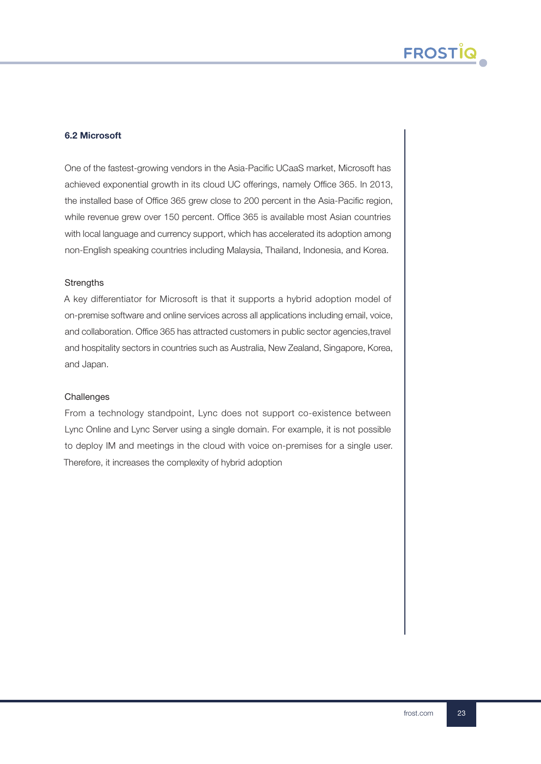## 6.2 Microsoft

One of the fastest-growing vendors in the Asia-Pacific UCaaS market, Microsoft has achieved exponential growth in its cloud UC offerings, namely Office 365. In 2013, the installed base of Office 365 grew close to 200 percent in the Asia-Pacific region, while revenue grew over 150 percent. Office 365 is available most Asian countries with local language and currency support, which has accelerated its adoption among non-English speaking countries including Malaysia, Thailand, Indonesia, and Korea.

#### **Strengths**

A key differentiator for Microsoft is that it supports a hybrid adoption model of on-premise software and online services across all applications including email, voice, and collaboration. Office 365 has attracted customers in public sector agencies,travel and hospitality sectors in countries such as Australia, New Zealand, Singapore, Korea, and Japan.

#### **Challenges**

From a technology standpoint, Lync does not support co-existence between Lync Online and Lync Server using a single domain. For example, it is not possible to deploy IM and meetings in the cloud with voice on-premises for a single user. Therefore, it increases the complexity of hybrid adoption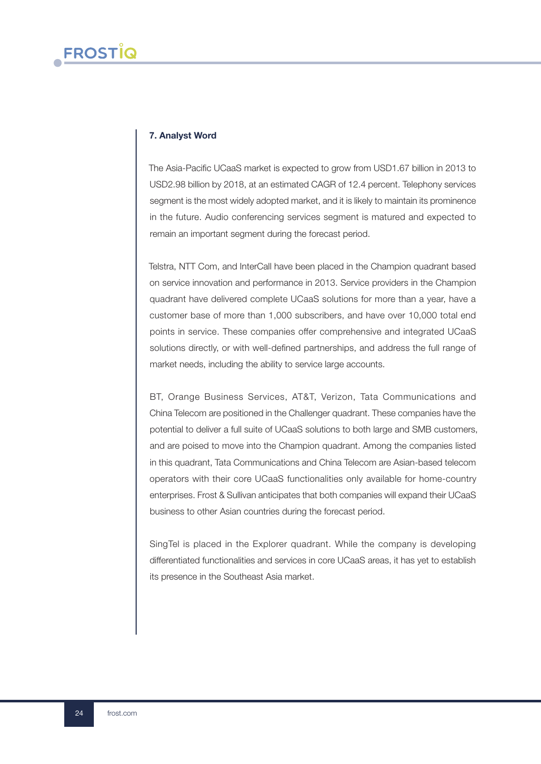## 7. Analyst Word

The Asia-Pacific UCaaS market is expected to grow from USD1.67 billion in 2013 to USD2.98 billion by 2018, at an estimated CAGR of 12.4 percent. Telephony services segment is the most widely adopted market, and it is likely to maintain its prominence in the future. Audio conferencing services segment is matured and expected to remain an important segment during the forecast period.

Telstra, NTT Com, and InterCall have been placed in the Champion quadrant based on service innovation and performance in 2013. Service providers in the Champion quadrant have delivered complete UCaaS solutions for more than a year, have a customer base of more than 1,000 subscribers, and have over 10,000 total end points in service. These companies offer comprehensive and integrated UCaaS solutions directly, or with well-defined partnerships, and address the full range of market needs, including the ability to service large accounts.

BT, Orange Business Services, AT&T, Verizon, Tata Communications and China Telecom are positioned in the Challenger quadrant. These companies have the potential to deliver a full suite of UCaaS solutions to both large and SMB customers, and are poised to move into the Champion quadrant. Among the companies listed in this quadrant, Tata Communications and China Telecom are Asian-based telecom operators with their core UCaaS functionalities only available for home-country enterprises. Frost & Sullivan anticipates that both companies will expand their UCaaS business to other Asian countries during the forecast period.

SingTel is placed in the Explorer quadrant. While the company is developing differentiated functionalities and services in core UCaaS areas, it has yet to establish its presence in the Southeast Asia market.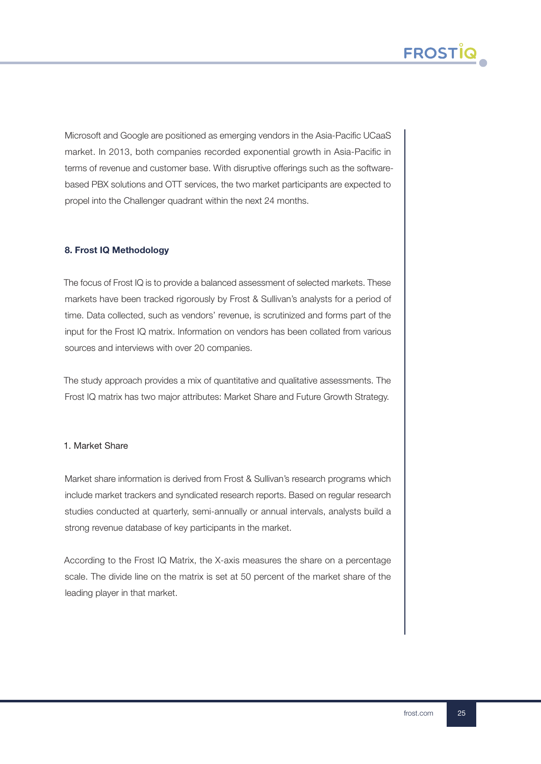

Microsoft and Google are positioned as emerging vendors in the Asia-Pacific UCaaS market. In 2013, both companies recorded exponential growth in Asia-Pacific in terms of revenue and customer base. With disruptive offerings such as the softwarebased PBX solutions and OTT services, the two market participants are expected to propel into the Challenger quadrant within the next 24 months.

## 8. Frost IQ Methodology

The focus of Frost IQ is to provide a balanced assessment of selected markets. These markets have been tracked rigorously by Frost & Sullivan's analysts for a period of time. Data collected, such as vendors' revenue, is scrutinized and forms part of the input for the Frost IQ matrix. Information on vendors has been collated from various sources and interviews with over 20 companies.

The study approach provides a mix of quantitative and qualitative assessments. The Frost IQ matrix has two major attributes: Market Share and Future Growth Strategy.

## 1. Market Share

Market share information is derived from Frost & Sullivan's research programs which include market trackers and syndicated research reports. Based on regular research studies conducted at quarterly, semi-annually or annual intervals, analysts build a strong revenue database of key participants in the market.

According to the Frost IQ Matrix, the X-axis measures the share on a percentage scale. The divide line on the matrix is set at 50 percent of the market share of the leading player in that market.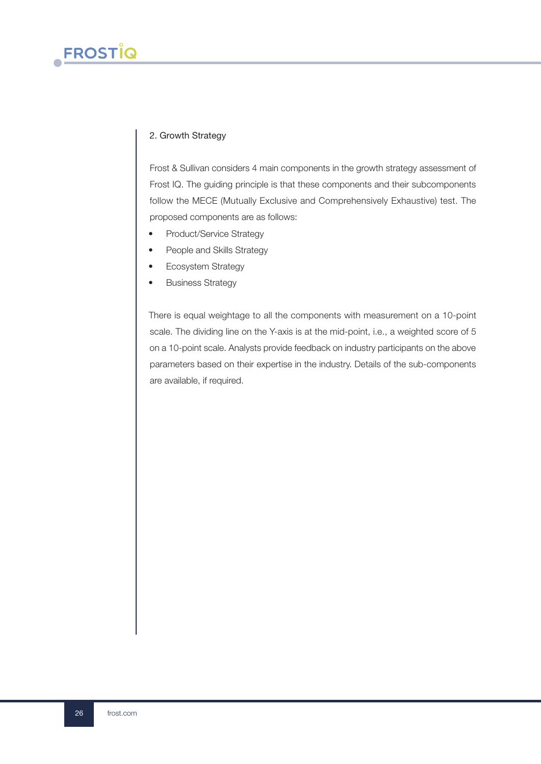## 2. Growth Strategy

Frost & Sullivan considers 4 main components in the growth strategy assessment of Frost IQ. The guiding principle is that these components and their subcomponents follow the MECE (Mutually Exclusive and Comprehensively Exhaustive) test. The proposed components are as follows:

- Product/Service Strategy
- People and Skills Strategy
- Ecosystem Strategy
- Business Strategy

There is equal weightage to all the components with measurement on a 10-point scale. The dividing line on the Y-axis is at the mid-point, i.e., a weighted score of 5 on a 10-point scale. Analysts provide feedback on industry participants on the above parameters based on their expertise in the industry. Details of the sub-components are available, if required.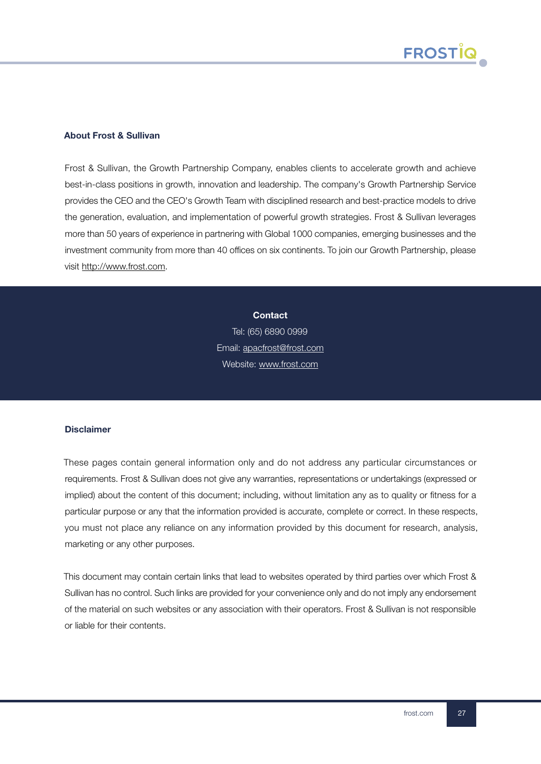

## About Frost & Sullivan

Frost & Sullivan, the Growth Partnership Company, enables clients to accelerate growth and achieve best-in-class positions in growth, innovation and leadership. The company's Growth Partnership Service provides the CEO and the CEO's Growth Team with disciplined research and best-practice models to drive the generation, evaluation, and implementation of powerful growth strategies. Frost & Sullivan leverages more than 50 years of experience in partnering with Global 1000 companies, emerging businesses and the investment community from more than 40 offices on six continents. To join our Growth Partnership, please visit [http://www.frost.com.](http://www.frost.com)

> **Contact** Tel: (65) 6890 0999

Email[: apacfrost@frost.com](mailto:apacfrost@frost.com) Website: [www.frost.com](http://www.frost.com)

#### Disclaimer

These pages contain general information only and do not address any particular circumstances or requirements. Frost & Sullivan does not give any warranties, representations or undertakings (expressed or implied) about the content of this document; including, without limitation any as to quality or fitness for a particular purpose or any that the information provided is accurate, complete or correct. In these respects, you must not place any reliance on any information provided by this document for research, analysis, marketing or any other purposes.

This document may contain certain links that lead to websites operated by third parties over which Frost & Sullivan has no control. Such links are provided for your convenience only and do not imply any endorsement of the material on such websites or any association with their operators. Frost & Sullivan is not responsible or liable for their contents.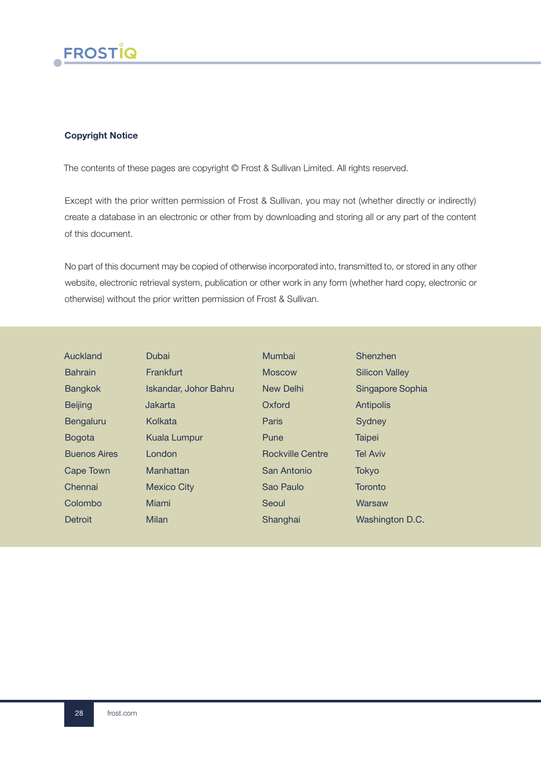

## Copyright Notice

The contents of these pages are copyright © Frost & Sullivan Limited. All rights reserved.

Except with the prior written permission of Frost & Sullivan, you may not (whether directly or indirectly) create a database in an electronic or other from by downloading and storing all or any part of the content of this document.

No part of this document may be copied of otherwise incorporated into, transmitted to, or stored in any other website, electronic retrieval system, publication or other work in any form (whether hard copy, electronic or otherwise) without the prior written permission of Frost & Sullivan.

| Auckland            | Dubai                 | Mumbai                  | Shenzhen              |
|---------------------|-----------------------|-------------------------|-----------------------|
| <b>Bahrain</b>      | Frankfurt             | <b>Moscow</b>           | <b>Silicon Valley</b> |
| <b>Bangkok</b>      | Iskandar, Johor Bahru | New Delhi               | Singapore Sophia      |
| <b>Beijing</b>      | Jakarta               | Oxford                  | <b>Antipolis</b>      |
| Bengaluru           | Kolkata               | Paris                   | Sydney                |
| <b>Bogota</b>       | <b>Kuala Lumpur</b>   | Pune                    | <b>Taipei</b>         |
| <b>Buenos Aires</b> | London                | <b>Rockville Centre</b> | <b>Tel Aviv</b>       |
| Cape Town           | Manhattan             | San Antonio             | <b>Tokyo</b>          |
| Chennai             | <b>Mexico City</b>    | Sao Paulo               | Toronto               |
| Colombo             | Miami                 | Seoul                   | Warsaw                |
| Detroit             | Milan                 | Shanghai                | Washington D.C.       |
|                     |                       |                         |                       |